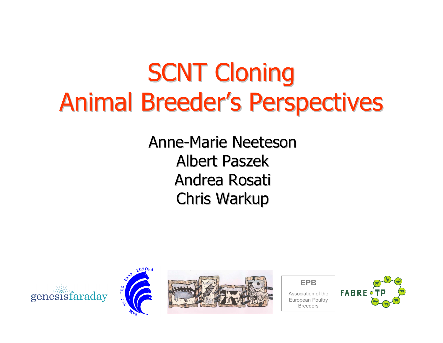### **SCNT Cloning** Animal Breeder's Perspectives

Anne-Marie Neeteson Albert Paszek Andrea RosatiChris Warkup









Breeders

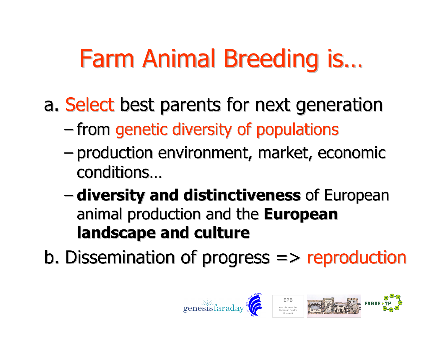### Farm Animal Breeding is…

a. Select best parents for next generation

- –– from genetic diversity of populations
- – production environment, market, economic conditions…
- AIVAFRITV **- diversity and distinctiveness** of European animal production and the European landscape and culture
- b. Dissemination of progress  $\Rightarrow$  reproduction

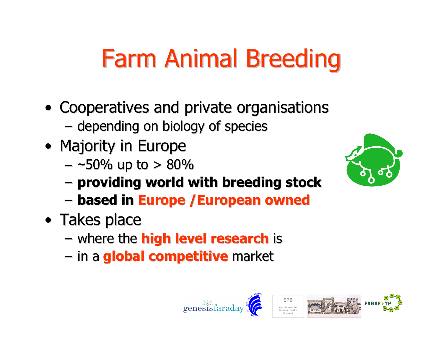### Farm Animal Breeding

- Cooperatives and private organisations
	- – $-$  depending on biology of species
- Majority in Europe
	- – $-$  ~50% up to  $>80\%$
	- – $\hbox{--}$  providing world with breeding stock
	- –based in Europe /European owned
- Takes place
	- where the **high level research** is
	- in a <mark>global competitive</mark> market



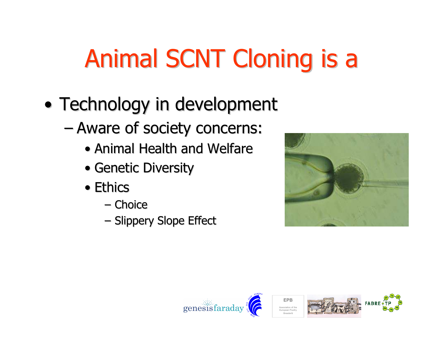## Animal SCNT Cloning is a

- • Technology in development
	- – Aware of society concerns:
		- Animal Health and Welfare
		- Genetic Diversity
		- Ethics
			- –– Choice
			- –– Slippery Slope Effect





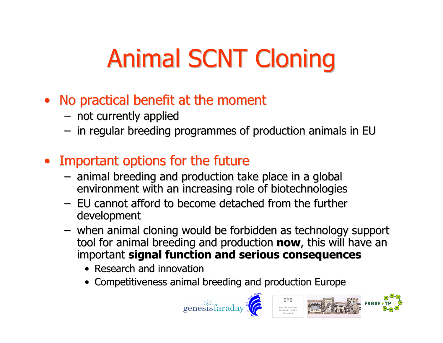# Animal SCNT Cloning

- No practical benefit at the moment
	- –– not currently applied<br>– in reqular breeding pr
	- in regular breeding programmes of production animals in EU
- Important options for the future
	- $-$  animal breeding and production to animal breeding and production take place in a global environment with an increasing role of biotechnologies –
	- EU cannot afford to become detached from the further development
	- when animal cloning would be forbidden as technology support tool for animal breeding and production **now**, this will have an important signal function and serious consequences
		- Research and innovation
		- Competitiveness animal breeding and production Europe



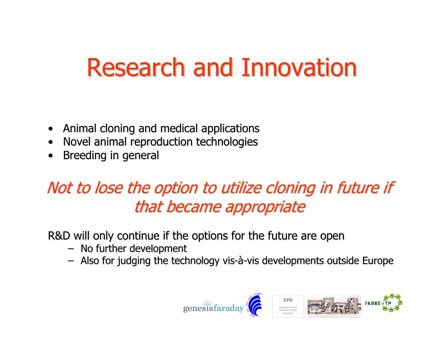### Research and Innovation

- $\bullet$ Animal cloning and medical applications
- $\bullet$ Novel animal reproduction technologies
- •Breeding in general

#### Not to lose the option to utilize cloning in future if that became appropriate

R&D will only continue if the options for the future are open

- No further development
- Also for judging the technology vis-à-vis developments outside Europe

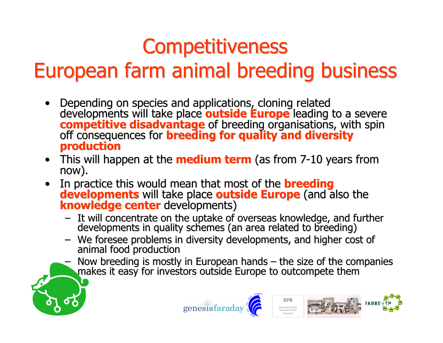#### **Competitiveness**

#### European farm animal breeding business

- •Depending on species and applications, cloning related developments will take place **outside Europe** leading t developments will take place **outside Europe** leading to a severe<br>competitive disadvantage of breeding organisations, with spin competitive disadvantage of breeding organisations, with spin<br>off consequences for breeding for quality and diversity<br>production
- This will happen at the **medium term** (as from 7-10 years from<br>now). now).
- In practice this would mean that most of the **breeding<br>developments** will take place **outside Europe** (and also the •knowledge center developments)
	- It will concentrate on the uptake of overseas knowledge, and further It will concentrate our uptake of our the uptake of overseas and further developments in quality schemes (an area related to breeding)
	- We foresee problems in diversity developments, and higher cost of animal food production
	- Now breeding is mostly in European hands  $-$  the size of the companies makes it easy for investors outside Europe to outcompete them





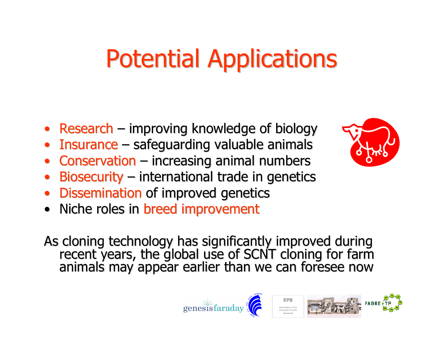### Potential Applications

- Research improving knowledge of biology
- •• Insurance – safeguarding valuable animals
- •• Conservation – increasing animal numbers
- $\bullet$ • Biosecurity – international trade in genetics
- •• Dissemination of improved genetics
- •Niche roles in breed improvement

As cloning technology has significantly improved during recent years, the global use of SCNT cloning for farm animals may appear earlier than we can foresee now



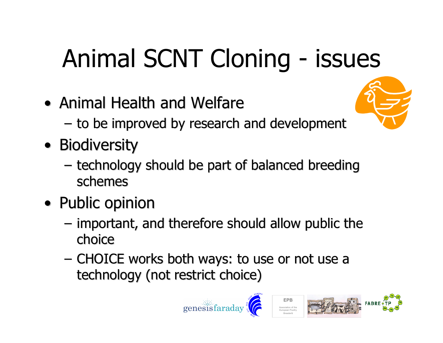# Animal SCNT Cloning - issues

- Animal Health and Welfare
	- $-$  to be improved by research and development
- Biodiversity
	- – technology should be part of balanced breeding schemes
- Public opinion
	- – important, and therefore should allow public the choice
	- CHOICE works both ways: to use or not use a technology (not restrict choice)





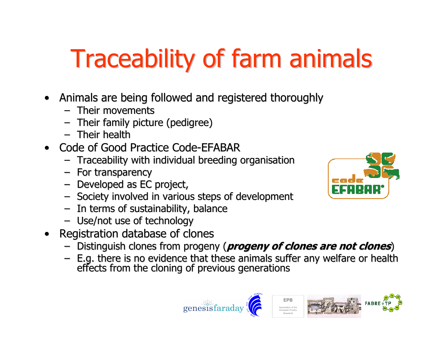# Traceability of farm animals

- Animals are being followed and registered thoroughly
	- Their movements –
	- Their family picture (pedigree)
	- $-$  Their health
- Code of Good Practice Code-EFABAR
	- Traceability with individual breeding organisation
	- For transparency
	- Developed as EC project,<br>– Society involved in various
	- Society involved in various steps of development
	- In terms of sustainability, balance
	- Use/not use of technology
- $\bullet$  Registration database of clones
	- Distinguish clones from progeny (*progeny of clones are not clones*)
	- E.g. there is no evidence that these animals suffer any welfare or health<br>effects from the cloning of previous generations

EPBAssociation of the European Poultry Breeders





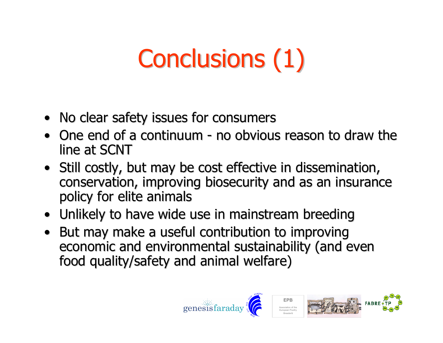# Conclusions (1)

- No clear safety issues for consumers
- One end of a continuum no obvious reason to draw the line at SCNT
- Still costly, but may be cost effective in dissemination, conservation, improving biosecurity and as an insurance policy for elite animals
- Unlikely to have wide use in mainstream breeding
- But may make a useful contribution to improving economic and environmental sustainability (and evenfood quality/safety and animal welfare)

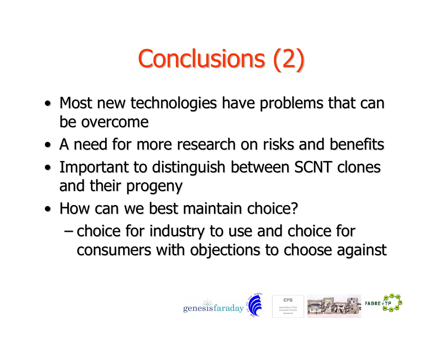# Conclusions (2)

- Most new technologies have problems that can be overcome
- A need for more research on risks and benefits
- Important to distinguish between SCNT clones and their progeny
- How can we best maintain choice?
	- – choice for industry to use and choice for consumers with objections to choose against